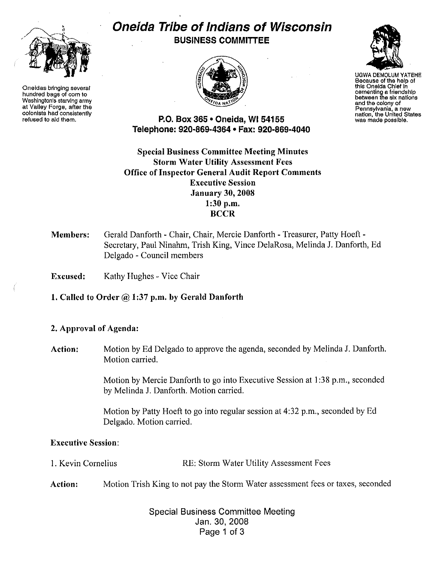

Oneidas bringing several hundred bags of corn to Washington's starving army at Valley Forge, after the colonists had consistently refused to aid them.

# Oneida Tribe of Indians of Wisconsin BUSINESS COMMITTEE





UGWA DEMOLUM YATEHE Because of the help of this Oneida Chief In cementing a friendship between the six nations and the colony of Pennsylvania, a new nation, the United States was made possible.

P.O. Box 365 • Oneida, WI 54155 Telephone: 920·869-4364 • Fax: 920-869·4040

Special Business Committee Meeting Minutes Storm Water Utility Assessment Fees Office of Inspector General Audit Report Comments Executive Session January 30, 2008 1:30 p.m. **BCCR** 

#### Members: Gerald Danforth - Chair, Chair, Mercie Danforth - Treasurer, Patty Hoeft · Secretary, Paul Ninahm, Trish King, Vince DelaRosa, Melinda J. Danforth, Ed Delgado - Council members

Excused: Kathy Hughes - Vice Chair

1. Called to Order  $@1:37$  p.m. by Gerald Danforth

## 2. Approval of Agenda:

Action: Motion by Ed Delgado to approve the agenda, seconded by Melinda J. Danforth. Motion carried.

> Motion by Mercie Danforth to go into Executive Session at I :38 p.m., seconded by Melinda J. Danforth. Motion carried.

Motion by Patty Hoeft to go into regular session at 4:32 p.m., seconded by Ed Delgado. Motion carried.

## Executive Session:

- I. Kevin Cornelius RE: Storm Water Utility Assessment Fees
- Action: Motion Trish King to not pay the Storm Water assessment fees or taxes, seconded

Special Business Committee Meeting Jan. 30,2008 Page 1 of 3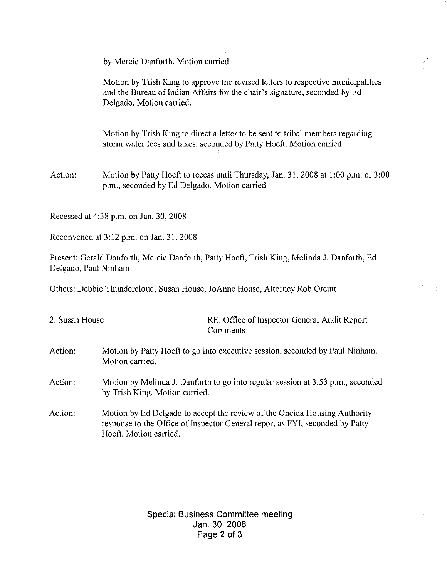by Mercie Danforth. Motion carried.

Motion by Trish King to approve the revised letters to respective municipalities and the Bureau of Indian Affairs for the chair's signature, seconded by Ed Delgado. Motion carried.

Motion by Trish King to direct a letter to be sent to tribal members regarding storm water fees and taxes, seconded by Patty Hoeft. Motion carried.

Action: Motion by Patty Hoeft to recess until Thursday, Jan. 31,2008 at 1:00 p.m. or 3:00 p.m., seconded by Ed Delgado. Motion carried.

Recessed at 4:38p.m. on Jan. 30, 2008

Reconvened at 3:12 p.m. on Jan. 31, 2008

Present: Gerald Danforth, Mercie Danforth, Patty Hoeft, Trish King, Melinda J. Danforth, Ed Delgado, Paul Ninham.

Others: Debbie Thundercloud, Susan House, JoAnne House, Attorney Rob Orcutt

| 2. Susan House | RE: Office of Inspector General Audit Report<br>Comments                                                                                                                            |
|----------------|-------------------------------------------------------------------------------------------------------------------------------------------------------------------------------------|
| Action:        | Motion by Patty Hoeft to go into executive session, seconded by Paul Ninham.<br>Motion carried.                                                                                     |
| Action:        | Motion by Melinda J. Danforth to go into regular session at 3:53 p.m., seconded<br>by Trish King. Motion carried.                                                                   |
| Action:        | Motion by Ed Delgado to accept the review of the Oneida Housing Authority<br>response to the Office of Inspector General report as FYI, seconded by Patty<br>Hoeft. Motion carried. |

Special Business Committee meeting Jan. 30,2008 Page 2 of 3